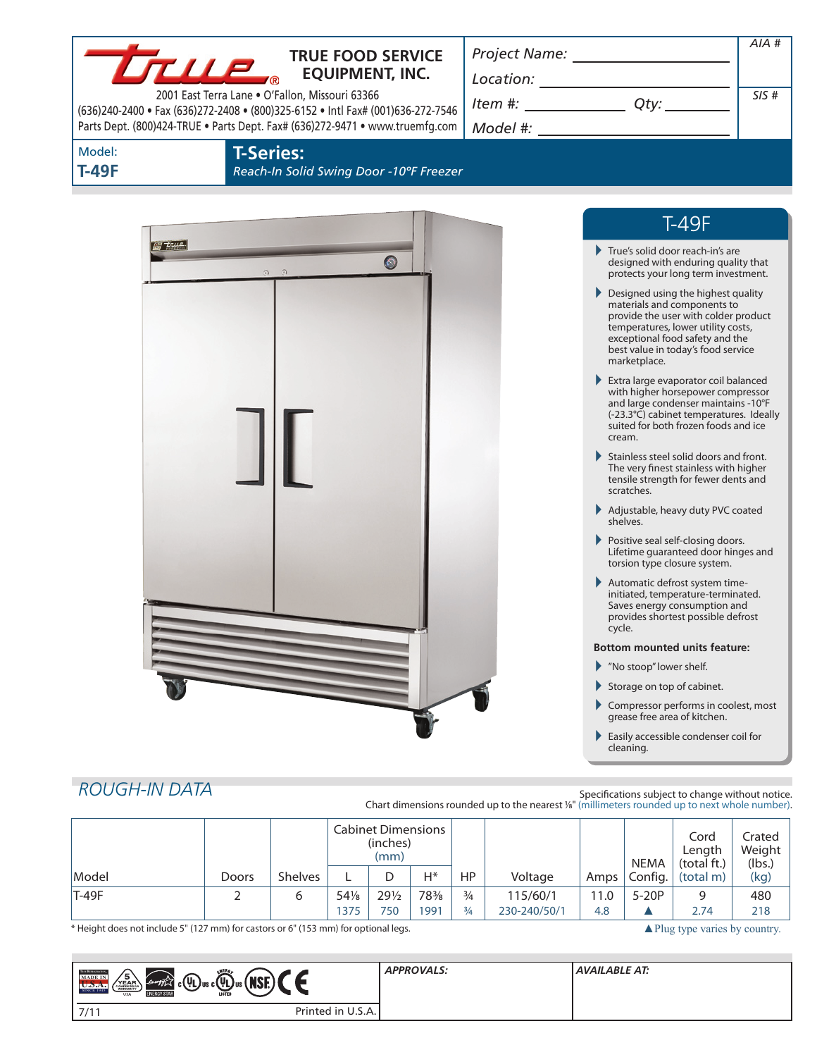|                        | True.<br>2001 East Terra Lane . O'Fallon, Missouri 63366 | <b>TRUE FOOD SERVICE</b><br><b>EQUIPMENT, INC.</b><br>(636)240-2400 · Fax (636)272-2408 · (800)325-6152 · Intl Fax# (001)636-272-7546<br>Parts Dept. (800)424-TRUE . Parts Dept. Fax# (636)272-9471 . www.truemfg.com | $\begin{picture}(150,10) \put(0,0){\vector(1,0){100}} \put(15,0){\vector(1,0){100}} \put(15,0){\vector(1,0){100}} \put(15,0){\vector(1,0){100}} \put(15,0){\vector(1,0){100}} \put(15,0){\vector(1,0){100}} \put(15,0){\vector(1,0){100}} \put(15,0){\vector(1,0){100}} \put(15,0){\vector(1,0){100}} \put(15,0){\vector(1,0){100}} \put(15,0){\vector(1,0){100}}$<br>$Item #: __________ Qty: __________$ |                                                                                                                                                                                                                                                                                                                                                                                                                                                                                                                                                                                                                                                                                                                                                             | $AIA$ #<br>SIS#                                                                                                                                                                                                                                                                                                                                                                                                                                                                                             |
|------------------------|----------------------------------------------------------|-----------------------------------------------------------------------------------------------------------------------------------------------------------------------------------------------------------------------|------------------------------------------------------------------------------------------------------------------------------------------------------------------------------------------------------------------------------------------------------------------------------------------------------------------------------------------------------------------------------------------------------------|-------------------------------------------------------------------------------------------------------------------------------------------------------------------------------------------------------------------------------------------------------------------------------------------------------------------------------------------------------------------------------------------------------------------------------------------------------------------------------------------------------------------------------------------------------------------------------------------------------------------------------------------------------------------------------------------------------------------------------------------------------------|-------------------------------------------------------------------------------------------------------------------------------------------------------------------------------------------------------------------------------------------------------------------------------------------------------------------------------------------------------------------------------------------------------------------------------------------------------------------------------------------------------------|
| Model:<br><b>T-49F</b> | <b>T-Series:</b>                                         | Reach-In Solid Swing Door -10°F Freezer                                                                                                                                                                               |                                                                                                                                                                                                                                                                                                                                                                                                            |                                                                                                                                                                                                                                                                                                                                                                                                                                                                                                                                                                                                                                                                                                                                                             |                                                                                                                                                                                                                                                                                                                                                                                                                                                                                                             |
| g tue                  | $\Omega$<br>$\odot$                                      | $\bullet$                                                                                                                                                                                                             |                                                                                                                                                                                                                                                                                                                                                                                                            | True's solid door reach-in's are<br>Designed using the highest quality<br>materials and components to<br>temperatures, lower utility costs,<br>exceptional food safety and the<br>best value in today's food service<br>marketplace.<br>Extra large evaporator coil balanced<br>cream.<br>scratches.<br>Adjustable, heavy duty PVC coated<br>shelves.<br>Positive seal self-closing doors.<br>torsion type closure system.<br>Automatic defrost system time-<br>initiated, temperature-terminated.<br>Saves energy consumption and<br>provides shortest possible defrost<br>cycle.<br><b>Bottom mounted units feature:</b><br>"No stoop" lower shelf.<br>Storage on top of cabinet.<br>grease free area of kitchen.<br>Easily accessible condenser coil for | <b>T-49F</b><br>designed with enduring quality that<br>protects your long term investment.<br>provide the user with colder product<br>with higher horsepower compressor<br>and large condenser maintains -10°F<br>(-23.3°C) cabinet temperatures. Ideally<br>suited for both frozen foods and ice<br>Stainless steel solid doors and front.<br>The very finest stainless with higher<br>tensile strength for fewer dents and<br>Lifetime guaranteed door hinges and<br>Compressor performs in coolest, most |
| <b>ROUGH-IN DATA</b>   |                                                          |                                                                                                                                                                                                                       | Chart dimensions rounded up to the nearest 1/8" (millimeters rounded up to next whole number).                                                                                                                                                                                                                                                                                                             | cleaning.<br>Specifications subject to change without notice.                                                                                                                                                                                                                                                                                                                                                                                                                                                                                                                                                                                                                                                                                               |                                                                                                                                                                                                                                                                                                                                                                                                                                                                                                             |
|                        |                                                          | <b>Cabinet Dimensions</b>                                                                                                                                                                                             |                                                                                                                                                                                                                                                                                                                                                                                                            |                                                                                                                                                                                                                                                                                                                                                                                                                                                                                                                                                                                                                                                                                                                                                             | Covd<br>$C$ ratod                                                                                                                                                                                                                                                                                                                                                                                                                                                                                           |

|         |       |                | Cabinet Dimensions<br>(inches)<br>(mm) |       |      |               |              | <b>NEMA</b> | Cord<br>Length<br>(total ft.) | Crated<br>Weight<br>(lbs.) |      |
|---------|-------|----------------|----------------------------------------|-------|------|---------------|--------------|-------------|-------------------------------|----------------------------|------|
| Model   | Doors | <b>Shelves</b> |                                        |       | H*   | HP            | Voltage      | Amps        | Config.                       | (total m)                  | (kg) |
| $T-49F$ |       | 6              | 541/8                                  | 291/2 | 78%  | $\frac{3}{4}$ | 115/60/1     | 11.0        | $5-20P$                       |                            | 480  |
|         |       |                | 1375                                   | 750   | 1991 | $\frac{3}{4}$ | 230-240/50/1 | 4.8         |                               | 2.74                       | 218  |

\* Height does not include 5" (127 mm) for castors or 6" (153 mm) for optional legs.

**COL** 

| ENERG<br><b>THE REFINER OTO</b><br>15.<br>MADE IN<br>Concrete 2<br>$_{\blacktriangleleft}$ c(UL) us c(UL) us ( NSE) $\blacktriangledown$<br>YEAR <sup>N</sup><br>SINCE 1945<br>LISTED<br><b>ENERGY STAR</b><br><b>USA</b> | <b>APPROVALS:</b> | <b>AVAILABLE AT:</b> |
|---------------------------------------------------------------------------------------------------------------------------------------------------------------------------------------------------------------------------|-------------------|----------------------|
| Printed in U.S.A.<br>7/11                                                                                                                                                                                                 |                   |                      |